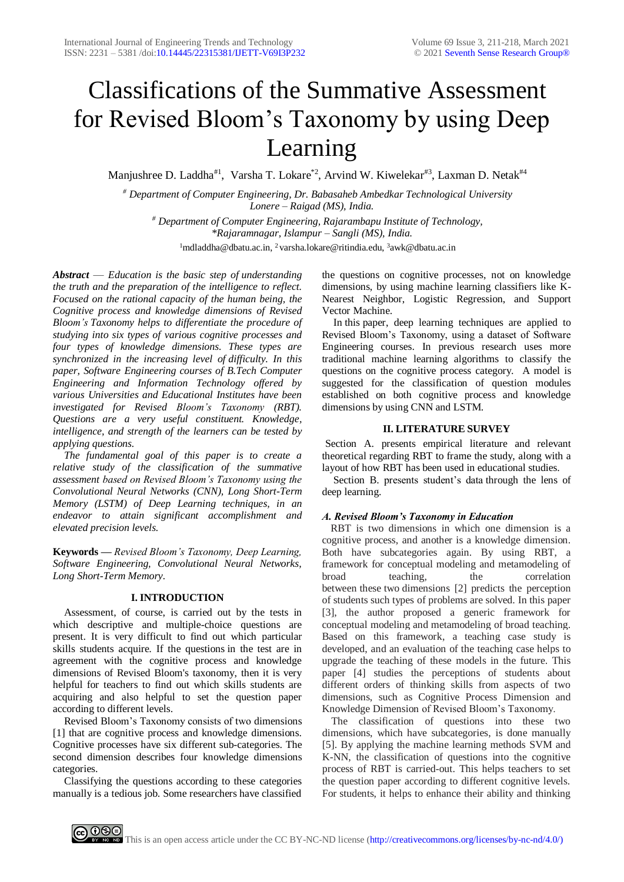# Classifications of the Summative Assessment for Revised Bloom's Taxonomy by using Deep Learning

Manjushree D. Laddha<sup>#1</sup>, Varsha T. Lokare<sup>\*2</sup>, Arvind W. Kiwelekar<sup>#3</sup>, Laxman D. Netak<sup>#4</sup>

*# Department of Computer Engineering, Dr. Babasaheb Ambedkar Technological University Lonere – Raigad (MS), India.*

*# Department of Computer Engineering, Rajarambapu Institute of Technology, \*Rajaramnagar, Islampur – Sangli (MS), India.*

<sup>1</sup>[mdladdha@dbatu.ac.in,](mailto:1mdladdha@dbatu.ac.in) <sup>2</sup> varsha.lokare@ritindia.edu, <sup>3</sup>awk@dbatu.ac.in

*Abstract* — *Education is the basic step of understanding the truth and the preparation of the intelligence to reflect. Focused on the rational capacity of the human being, the Cognitive process and knowledge dimensions of Revised Bloom's Taxonomy helps to differentiate the procedure of studying into six types of various cognitive processes and four types of knowledge dimensions. These types are synchronized in the increasing level of difficulty. In this paper, Software Engineering courses of B.Tech Computer Engineering and Information Technology offered by various Universities and Educational Institutes have been investigated for Revised Bloom's Taxonomy (RBT). Questions are a very useful constituent. Knowledge, intelligence, and strength of the learners can be tested by applying questions.*

*The fundamental goal of this paper is to create a relative study of the classification of the summative assessment based on Revised Bloom's Taxonomy using the Convolutional Neural Networks (CNN), Long Short-Term Memory (LSTM) of Deep Learning techniques, in an endeavor to attain significant accomplishment and elevated precision levels.*

**Keywords** *— Revised Bloom's Taxonomy, Deep Learning, Software Engineering, Convolutional Neural Networks, Long Short-Term Memory.*

#### **I. INTRODUCTION**

Assessment, of course, is carried out by the tests in which descriptive and multiple-choice questions are present. It is very difficult to find out which particular skills students acquire. If the questions in the test are in agreement with the cognitive process and knowledge dimensions of Revised Bloom's taxonomy, then it is very helpful for teachers to find out which skills students are acquiring and also helpful to set the question paper according to different levels.

Revised Bloom's Taxonomy consists of two dimensions [1] that are cognitive process and knowledge dimensions. Cognitive processes have six different sub-categories. The second dimension describes four knowledge dimensions categories.

Classifying the questions according to these categories manually is a tedious job. Some researchers have classified

the questions on cognitive processes, not on knowledge dimensions, by using machine learning classifiers like K-Nearest Neighbor, Logistic Regression, and Support Vector Machine.

In this paper, deep learning techniques are applied to Revised Bloom's Taxonomy, using a dataset of Software Engineering courses. In previous research uses more traditional machine learning algorithms to classify the questions on the cognitive process category. A model is suggested for the classification of question modules established on both cognitive process and knowledge dimensions by using CNN and LSTM.

#### **II. LITERATURE SURVEY**

Section A. presents empirical literature and relevant theoretical regarding RBT to frame the study, along with a layout of how RBT has been used in educational studies.

Section B. presents student's data through the lens of deep learning.

## *A. Revised Bloom's Taxonomy in Education*

RBT is two dimensions in which one dimension is a cognitive process, and another is a knowledge dimension. Both have subcategories again. By using RBT, a framework for conceptual modeling and metamodeling of broad teaching, the correlation between these two dimensions [2] predicts the perception of students such types of problems are solved. In this paper [3], the author proposed a generic framework for conceptual modeling and metamodeling of broad teaching. Based on this framework, a teaching case study is developed, and an evaluation of the teaching case helps to upgrade the teaching of these models in the future. This paper [4] studies the perceptions of students about different orders of thinking skills from aspects of two dimensions, such as Cognitive Process Dimension and Knowledge Dimension of Revised Bloom's Taxonomy.

The classification of questions into these two dimensions, which have subcategories, is done manually [5]. By applying the machine learning methods SVM and K-NN, the classification of questions into the cognitive process of RBT is carried-out. This helps teachers to set the question paper according to different cognitive levels. For students, it helps to enhance their ability and thinking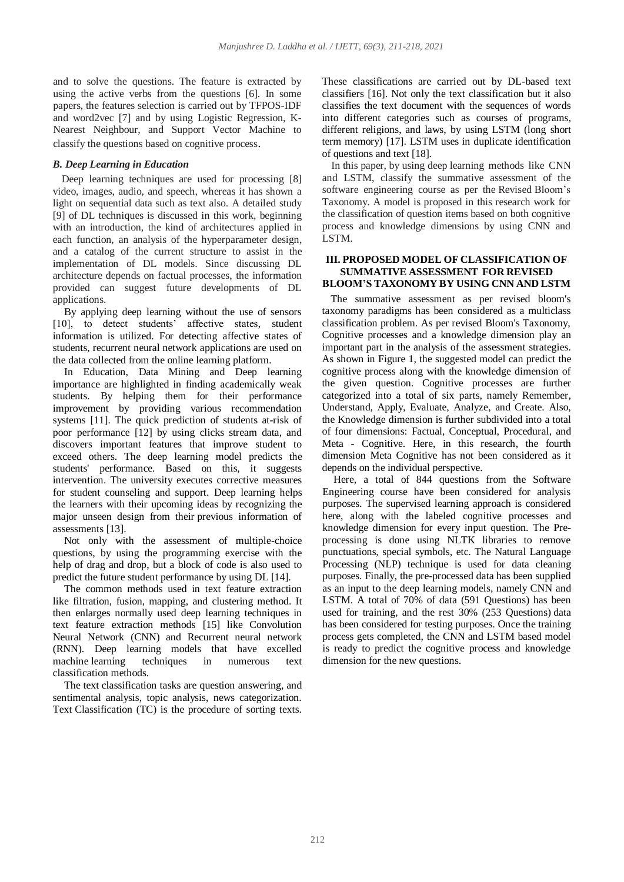and to solve the questions. The feature is extracted by using the active verbs from the questions [6]. In some papers, the features selection is carried out by TFPOS-IDF and word2vec [7] and by using Logistic Regression, K-Nearest Neighbour, and Support Vector Machine to classify the questions based on cognitive process.

## *B. Deep Learning in Education*

Deep learning techniques are used for processing [8] video, images, audio, and speech, whereas it has shown a light on sequential data such as text also. A detailed study [9] of DL techniques is discussed in this work, beginning with an introduction, the kind of architectures applied in each function, an analysis of the hyperparameter design, and a catalog of the current structure to assist in the implementation of DL models. Since discussing DL architecture depends on factual processes, the information provided can suggest future developments of DL applications.

By applying deep learning without the use of sensors [10], to detect students' affective states, student information is utilized. For detecting affective states of students, recurrent neural network applications are used on the data collected from the online learning platform.

In Education, Data Mining and Deep learning importance are highlighted in finding academically weak students. By helping them for their performance improvement by providing various recommendation systems [11]. The quick prediction of students at-risk of poor performance [12] by using clicks stream data, and discovers important features that improve student to exceed others. The deep learning model predicts the students' performance. Based on this, it suggests intervention. The university executes corrective measures for student counseling and support. Deep learning helps the learners with their upcoming ideas by recognizing the major unseen design from their previous information of assessments [13].

Not only with the assessment of multiple-choice questions, by using the programming exercise with the help of drag and drop, but a block of code is also used to predict the future student performance by using DL [14].

The common methods used in text feature extraction like filtration, fusion, mapping, and clustering method. It then enlarges normally used deep learning techniques in text feature extraction methods [15] like Convolution Neural Network (CNN) and Recurrent neural network (RNN). Deep learning models that have excelled machine learning techniques in numerous text classification methods.

The text classification tasks are question answering, and sentimental analysis, topic analysis, news categorization. Text Classification (TC) is the procedure of sorting texts.

These classifications are carried out by DL-based text classifiers [16]. Not only the text classification but it also classifies the text document with the sequences of words into different categories such as courses of programs, different religions, and laws, by using LSTM (long short term memory) [17]. LSTM uses in duplicate identification of questions and text [18].

In this paper, by using deep learning methods like CNN and LSTM, classify the summative assessment of the software engineering course as per the Revised Bloom's Taxonomy. A model is proposed in this research work for the classification of question items based on both cognitive process and knowledge dimensions by using CNN and LSTM.

## **III. PROPOSED MODEL OF CLASSIFICATION OF SUMMATIVE ASSESSMENT FOR REVISED BLOOM'S TAXONOMY BY USING CNN AND LSTM**

The summative assessment as per revised bloom's taxonomy paradigms has been considered as a multiclass classification problem. As per revised Bloom's Taxonomy, Cognitive processes and a knowledge dimension play an important part in the analysis of the assessment strategies. As shown in Figure 1, the suggested model can predict the cognitive process along with the knowledge dimension of the given question. Cognitive processes are further categorized into a total of six parts, namely Remember, Understand, Apply, Evaluate, Analyze, and Create. Also, the Knowledge dimension is further subdivided into a total of four dimensions: Factual, Conceptual, Procedural, and Meta - Cognitive. Here, in this research, the fourth dimension Meta Cognitive has not been considered as it depends on the individual perspective.

Here, a total of 844 questions from the Software Engineering course have been considered for analysis purposes. The supervised learning approach is considered here, along with the labeled cognitive processes and knowledge dimension for every input question. The Preprocessing is done using NLTK libraries to remove punctuations, special symbols, etc. The Natural Language Processing (NLP) technique is used for data cleaning purposes. Finally, the pre-processed data has been supplied as an input to the deep learning models, namely CNN and LSTM. A total of 70% of data (591 Questions) has been used for training, and the rest 30% (253 Questions) data has been considered for testing purposes. Once the training process gets completed, the CNN and LSTM based model is ready to predict the cognitive process and knowledge dimension for the new questions.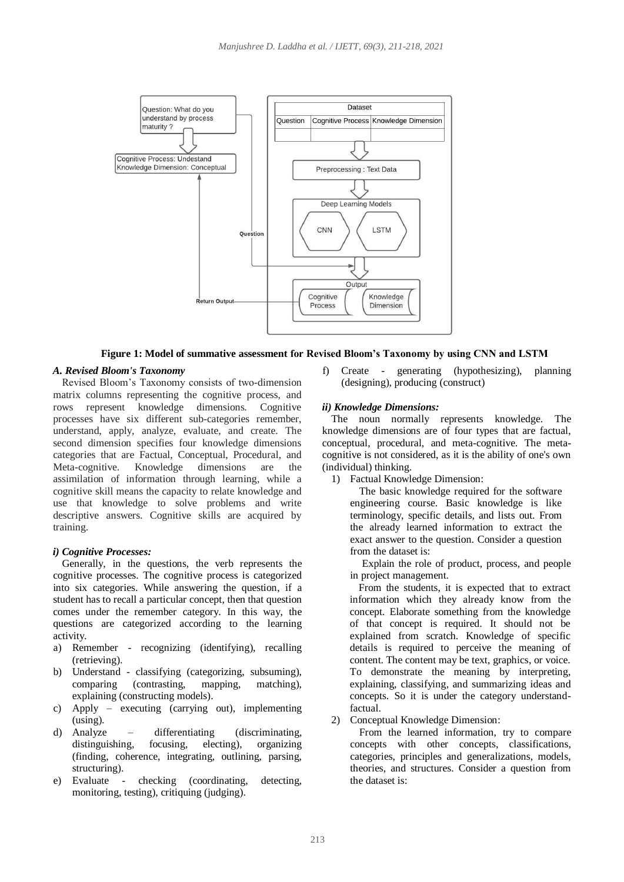

**Figure 1: Model of summative assessment for Revised Bloom's Taxonomy by using CNN and LSTM**

## *A. Revised Bloom's Taxonomy*

Revised Bloom's Taxonomy consists of two-dimension matrix columns representing the cognitive process, and rows represent knowledge dimensions. Cognitive processes have six different sub-categories remember, understand, apply, analyze, evaluate, and create. The second dimension specifies four knowledge dimensions categories that are Factual, Conceptual, Procedural, and Meta-cognitive. Knowledge dimensions are the assimilation of information through learning, while a cognitive skill means the capacity to relate knowledge and use that knowledge to solve problems and write descriptive answers. Cognitive skills are acquired by training.

## *i) Cognitive Processes:*

Generally, in the questions, the verb represents the cognitive processes. The cognitive process is categorized into six categories. While answering the question, if a student has to recall a particular concept, then that question comes under the remember category. In this way, the questions are categorized according to the learning activity.

- a) Remember recognizing (identifying), recalling (retrieving).
- b) Understand classifying (categorizing, subsuming), comparing (contrasting, mapping, matching), explaining (constructing models).
- c) Apply executing (carrying out), implementing (using).
- d) Analyze differentiating (discriminating, distinguishing, focusing, electing), organizing (finding, coherence, integrating, outlining, parsing, structuring).
- e) Evaluate checking (coordinating, detecting, monitoring, testing), critiquing (judging).

f) Create - generating (hypothesizing), planning (designing), producing (construct)

## *ii) Knowledge Dimensions:*

The noun normally represents knowledge. The knowledge dimensions are of four types that are factual, conceptual, procedural, and meta-cognitive. The metacognitive is not considered, as it is the ability of one's own (individual) thinking.

1) Factual Knowledge Dimension:

The basic knowledge required for the software engineering course. Basic knowledge is like terminology, specific details, and lists out. From the already learned information to extract the exact answer to the question. Consider a question from the dataset is:

Explain the role of product, process, and people in project management.

From the students, it is expected that to extract information which they already know from the concept. Elaborate something from the knowledge of that concept is required. It should not be explained from scratch. Knowledge of specific details is required to perceive the meaning of content. The content may be text, graphics, or voice. To demonstrate the meaning by interpreting, explaining, classifying, and summarizing ideas and concepts. So it is under the category understandfactual.

2) Conceptual Knowledge Dimension:

From the learned information, try to compare concepts with other concepts, classifications, categories, principles and generalizations, models, theories, and structures. Consider a question from the dataset is: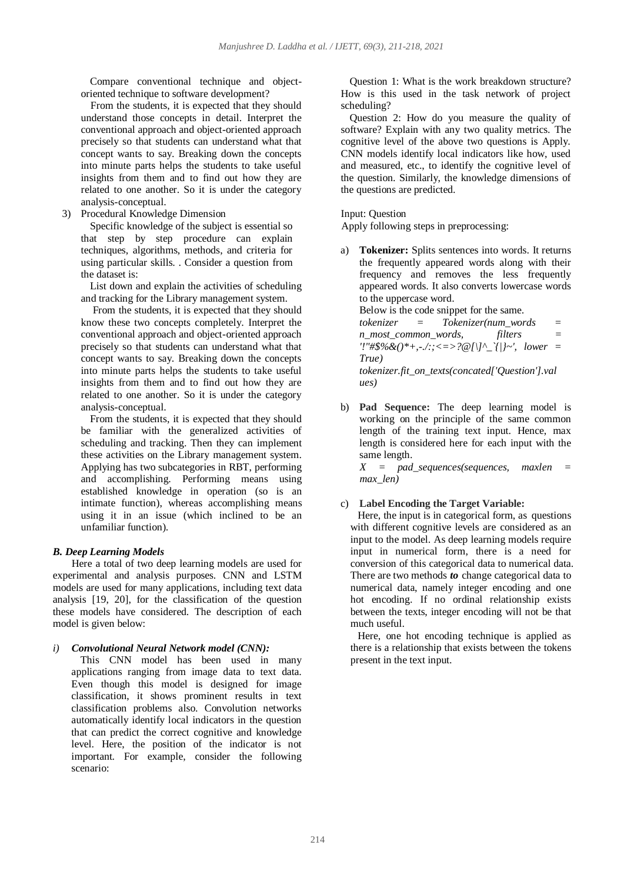Compare conventional technique and objectoriented technique to software development?

From the students, it is expected that they should understand those concepts in detail. Interpret the conventional approach and object-oriented approach precisely so that students can understand what that concept wants to say. Breaking down the concepts into minute parts helps the students to take useful insights from them and to find out how they are related to one another. So it is under the category analysis-conceptual.

3) Procedural Knowledge Dimension

Specific knowledge of the subject is essential so that step by step procedure can explain techniques, algorithms, methods, and criteria for using particular skills. . Consider a question from the dataset is:

List down and explain the activities of scheduling and tracking for the Library management system.

From the students, it is expected that they should know these two concepts completely. Interpret the conventional approach and object-oriented approach precisely so that students can understand what that concept wants to say. Breaking down the concepts into minute parts helps the students to take useful insights from them and to find out how they are related to one another. So it is under the category analysis-conceptual.

From the students, it is expected that they should be familiar with the generalized activities of scheduling and tracking. Then they can implement these activities on the Library management system. Applying has two subcategories in RBT, performing and accomplishing. Performing means using established knowledge in operation (so is an intimate function), whereas accomplishing means using it in an issue (which inclined to be an unfamiliar function).

## *B. Deep Learning Models*

Here a total of two deep learning models are used for experimental and analysis purposes. CNN and LSTM models are used for many applications, including text data analysis [19, 20], for the classification of the question these models have considered. The description of each model is given below:

*i) Convolutional Neural Network model (CNN):*

This CNN model has been used in many applications ranging from image data to text data. Even though this model is designed for image classification, it shows prominent results in text classification problems also. Convolution networks automatically identify local indicators in the question that can predict the correct cognitive and knowledge level. Here, the position of the indicator is not important. For example, consider the following scenario:

Question 1: What is the work breakdown structure? How is this used in the task network of project scheduling?

Question 2: How do you measure the quality of software? Explain with any two quality metrics. The cognitive level of the above two questions is Apply. CNN models identify local indicators like how, used and measured, etc., to identify the cognitive level of the question. Similarly, the knowledge dimensions of the questions are predicted.

## Input: Question

Apply following steps in preprocessing:

**Tokenizer:** Splits sentences into words. It returns the frequently appeared words along with their frequency and removes the less frequently appeared words. It also converts lowercase words to the uppercase word.

Below is the code snippet for the same. *tokenizer = Tokenizer(num\_words = n\_most\_common\_words, filters = '!"#\$%&()\*+,-./:;<=>?@[\]^\_`{|}~', lower = True) tokenizer.fit\_on\_texts(concated['Question'].val ues)*

b) **Pad Sequence:** The deep learning model is working on the principle of the same common length of the training text input. Hence, max length is considered here for each input with the same length.

*X = pad\_sequences(sequences, maxlen = max\_len)*

## c) **Label Encoding the Target Variable:**

Here, the input is in categorical form, as questions with different cognitive levels are considered as an input to the model. As deep learning models require input in numerical form, there is a need for conversion of this categorical data to numerical data. There are two methods *to* change categorical data to numerical data, namely integer encoding and one hot encoding. If no ordinal relationship exists between the texts, integer encoding will not be that much useful.

Here, one hot encoding technique is applied as there is a relationship that exists between the tokens present in the text input.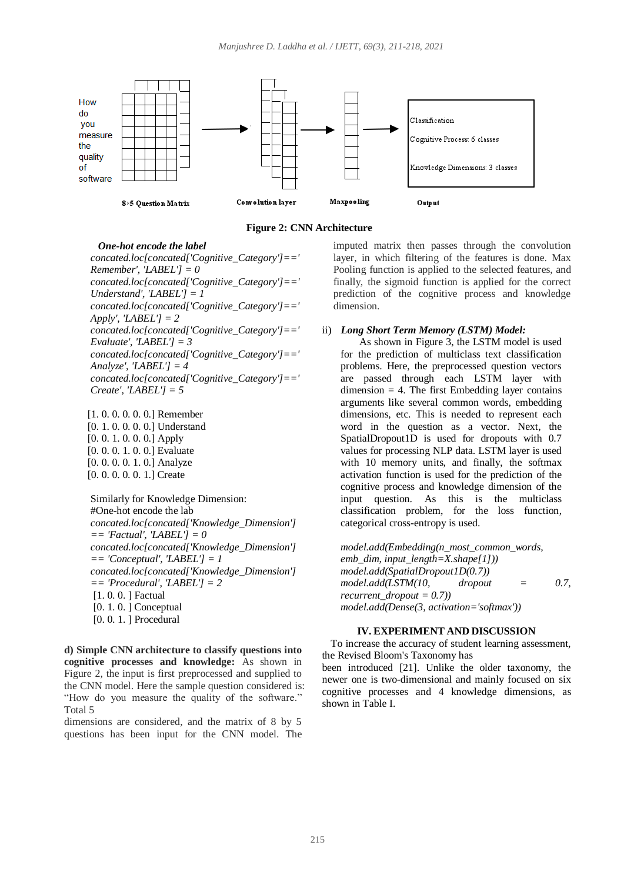



#### *One-hot encode the label*

*concated.loc[concated['Cognitive\_Category']==' Remember', 'LABEL'] = 0 concated.loc[concated['Cognitive\_Category']==' Understand', 'LABEL'] = 1 concated.loc[concated['Cognitive\_Category']==' Apply', 'LABEL'] = 2 concated.loc[concated['Cognitive\_Category']==' Evaluate', 'LABEL'] = 3 concated.loc[concated['Cognitive\_Category']==' Analyze', 'LABEL'] = 4 concated.loc[concated['Cognitive\_Category']==' Create', 'LABEL'] = 5*

[1. 0. 0. 0. 0. 0.] Remember [0. 1. 0. 0. 0. 0.] Understand [0. 0. 1. 0. 0. 0.] Apply [0. 0. 0. 1. 0. 0.] Evaluate [0. 0. 0. 0. 1. 0.] Analyze [0. 0. 0. 0. 0. 1.] Create

Similarly for Knowledge Dimension: #One-hot encode the lab *concated.loc[concated['Knowledge\_Dimension'] == 'Factual', 'LABEL'] = 0 concated.loc[concated['Knowledge\_Dimension'] == 'Conceptual', 'LABEL'] = 1 concated.loc[concated['Knowledge\_Dimension'] == 'Procedural', 'LABEL'] = 2* [1. 0. 0. ] Factual [0. 1. 0. ] Conceptual [0. 0. 1. ] Procedural

**d) Simple CNN architecture to classify questions into cognitive processes and knowledge:** As shown in Figure 2, the input is first preprocessed and supplied to the CNN model. Here the sample question considered is: "How do you measure the quality of the software." Total 5

dimensions are considered, and the matrix of 8 by 5 questions has been input for the CNN model. The imputed matrix then passes through the convolution layer, in which filtering of the features is done. Max Pooling function is applied to the selected features, and finally, the sigmoid function is applied for the correct prediction of the cognitive process and knowledge dimension.

## ii) *Long Short Term Memory (LSTM) Model:*

As shown in Figure 3, the LSTM model is used for the prediction of multiclass text classification problems. Here, the preprocessed question vectors are passed through each LSTM layer with  $dimension = 4$ . The first Embedding layer contains arguments like several common words, embedding dimensions, etc. This is needed to represent each word in the question as a vector. Next, the SpatialDropout1D is used for dropouts with 0.7 values for processing NLP data. LSTM layer is used with 10 memory units, and finally, the softmax activation function is used for the prediction of the cognitive process and knowledge dimension of the input question. As this is the multiclass classification problem, for the loss function, categorical cross-entropy is used.

*model.add(Embedding(n\_most\_common\_words, emb\_dim, input\_length=X.shape[1])) model.add(SpatialDropout1D(0.7)) model.add(LSTM(10, dropout = 0.7, recurrent\_dropout = 0.7)) model.add(Dense(3, activation='softmax'))*

#### **IV. EXPERIMENT AND DISCUSSION**

To increase the accuracy of student learning assessment, the Revised Bloom's Taxonomy has

been introduced [21]. Unlike the older taxonomy, the newer one is two-dimensional and mainly focused on six cognitive processes and 4 knowledge dimensions, as shown in Table I.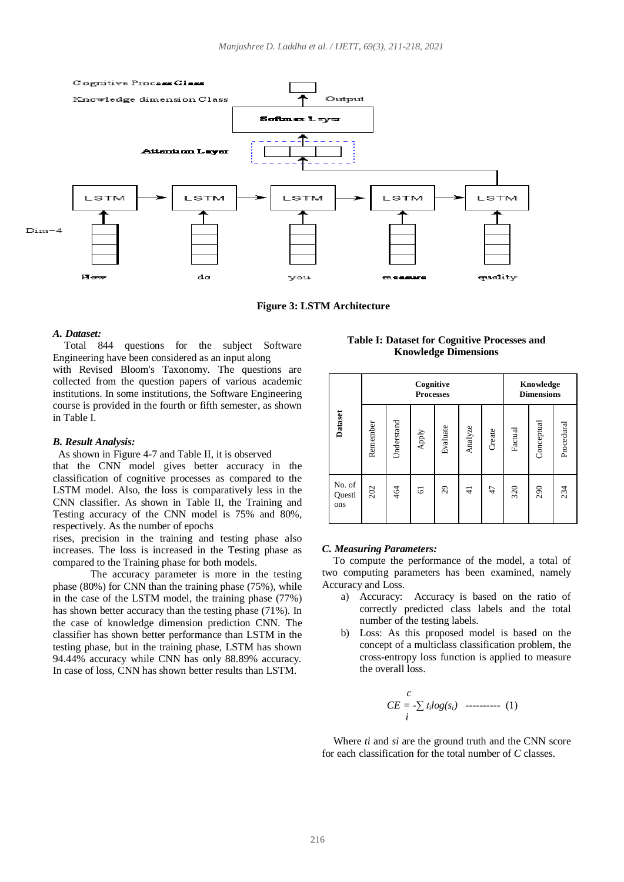

**Figure 3: LSTM Architecture**

#### *A. Dataset:*

Total 844 questions for the subject Software Engineering have been considered as an input along with Revised Bloom's Taxonomy. The questions are collected from the question papers of various academic institutions. In some institutions, the Software Engineering course is provided in the fourth or fifth semester, as shown in Table I.

#### *B. Result Analysis:*

#### As shown in Figure 4-7 and Table II, it is observed

that the CNN model gives better accuracy in the classification of cognitive processes as compared to the LSTM model. Also, the loss is comparatively less in the CNN classifier. As shown in Table II, the Training and Testing accuracy of the CNN model is 75% and 80%, respectively. As the number of epochs

rises, precision in the training and testing phase also increases. The loss is increased in the Testing phase as compared to the Training phase for both models.

The accuracy parameter is more in the testing phase (80%) for CNN than the training phase (75%), while in the case of the LSTM model, the training phase (77%) has shown better accuracy than the testing phase (71%). In the case of knowledge dimension prediction CNN. The classifier has shown better performance than LSTM in the testing phase, but in the training phase, LSTM has shown 94.44% accuracy while CNN has only 88.89% accuracy. In case of loss, CNN has shown better results than LSTM.

**Table I: Dataset for Cognitive Processes and Knowledge Dimensions**

|                                                                                                                                                                                                                                                                                                                                                                                                                                                                                                                                                   | Dataset                                                                                                                              | Cognitive<br><b>Processes</b> |            |       |          |         |        | Knowledge<br><b>Dimensions</b> |           |           |
|---------------------------------------------------------------------------------------------------------------------------------------------------------------------------------------------------------------------------------------------------------------------------------------------------------------------------------------------------------------------------------------------------------------------------------------------------------------------------------------------------------------------------------------------------|--------------------------------------------------------------------------------------------------------------------------------------|-------------------------------|------------|-------|----------|---------|--------|--------------------------------|-----------|-----------|
|                                                                                                                                                                                                                                                                                                                                                                                                                                                                                                                                                   |                                                                                                                                      | Remember                      | Understand | Apply | Evaluate | Analyze | Create | Factual                        | Conceptua | Procedura |
|                                                                                                                                                                                                                                                                                                                                                                                                                                                                                                                                                   | No. of<br>Questi<br>ons                                                                                                              | 202                           | 464        | 5     | 29       | ₹       | 47     | 320                            | 290       | 234       |
| <b>C. Measuring Parameters:</b><br>To compute the performance of the model, a total of<br>two computing parameters has been examined, namely<br>Accuracy and Loss.<br>Accuracy: Accuracy is based on the ratio of<br>a)<br>correctly predicted class labels and the total<br>number of the testing labels.<br>b)<br>Loss: As this proposed model is based on the<br>concept of a multiclass classification problem, the<br>cross-entropy loss function is applied to measure<br>the overall loss.<br>$CE = -\sum_{i} t_i log(s_i)$ ---------- (1) |                                                                                                                                      |                               |            |       |          |         |        |                                |           |           |
|                                                                                                                                                                                                                                                                                                                                                                                                                                                                                                                                                   | Where <i>ti</i> and <i>si</i> are the ground truth and the CNN score<br>for each classification for the total number of $C$ classes. |                               |            |       |          |         |        |                                |           |           |

#### *C. Measuring Parameters:*

- a) Accuracy: Accuracy is based on the ratio of correctly predicted class labels and the total number of the testing labels.
- b) Loss: As this proposed model is based on the concept of a multiclass classification problem, the cross-entropy loss function is applied to measure the overall loss.

$$
CE = -\sum t_i log(s_i) \quad \text{---} \quad (1)
$$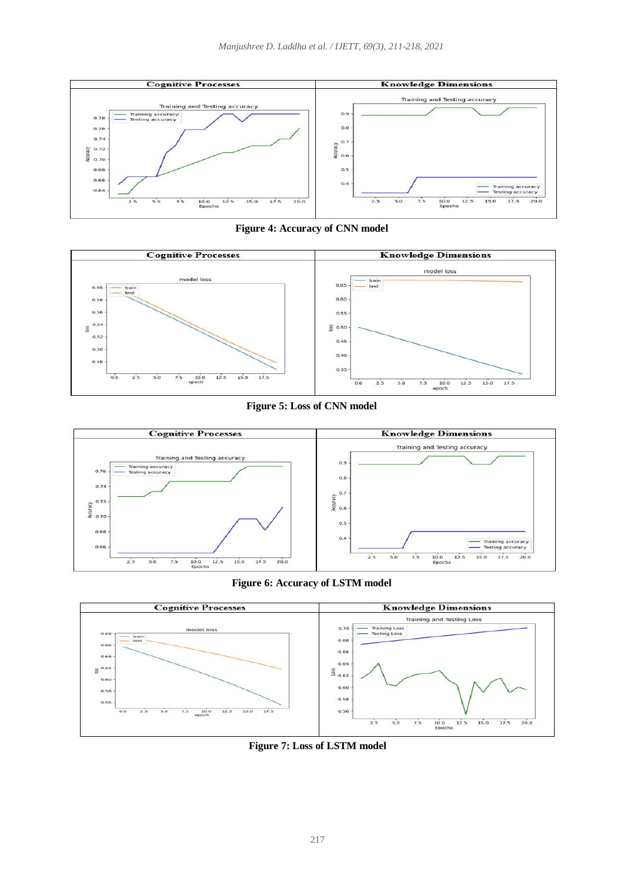

**Figure 4: Accuracy of CNN model**



**Figure 5: Loss of CNN model**



**Figure 6: Accuracy of LSTM model**



**Figure 7: Loss of LSTM model**